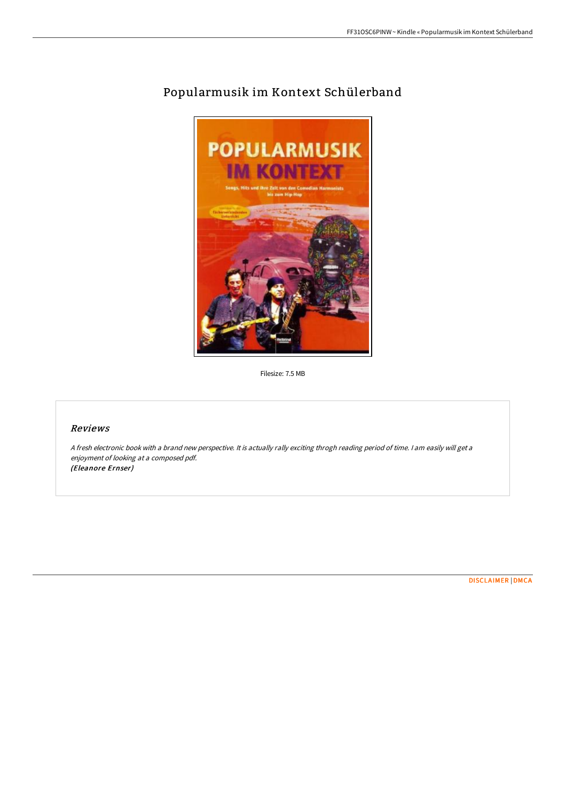

# Popularmusik im Kontext Schülerband

Filesize: 7.5 MB

## Reviews

<sup>A</sup> fresh electronic book with <sup>a</sup> brand new perspective. It is actually rally exciting throgh reading period of time. <sup>I</sup> am easily will get <sup>a</sup> enjoyment of looking at <sup>a</sup> composed pdf. (Eleanore Ernser)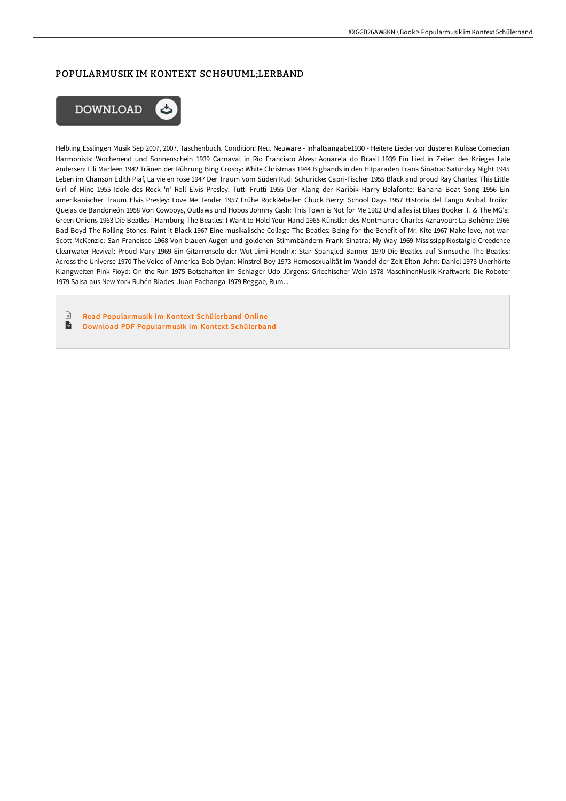## POPULARMUSIK IM KONTEXT SCHÜLERBAND



Helbling Esslingen Musik Sep 2007, 2007. Taschenbuch. Condition: Neu. Neuware - Inhaltsangabe1930 - Heitere Lieder vor düsterer Kulisse Comedian Harmonists: Wochenend und Sonnenschein 1939 Carnaval in Rio Francisco Alves: Aquarela do Brasil 1939 Ein Lied in Zeiten des Krieges Lale Andersen: Lili Marleen 1942 Tränen der Rührung Bing Crosby: White Christmas 1944 Bigbands in den Hitparaden Frank Sinatra: Saturday Night 1945 Leben im Chanson Edith Piaf, La vie en rose 1947 Der Traum vom Süden Rudi Schuricke: Capri-Fischer 1955 Black and proud Ray Charles: This Little Girl of Mine 1955 Idole des Rock 'n' Roll Elvis Presley: Tutti Frutti 1955 Der Klang der Karibik Harry Belafonte: Banana Boat Song 1956 Ein amerikanischer Traum Elvis Presley: Love Me Tender 1957 Frühe RockRebellen Chuck Berry: School Days 1957 Historia del Tango Anibal Troilo: Quejas de Bandoneón 1958 Von Cowboys, Outlaws und Hobos Johnny Cash: This Town is Not for Me 1962 Und alles ist Blues Booker T. & The MG's: Green Onions 1963 Die Beatles i Hamburg The Beatles: I Want to Hold Your Hand 1965 Künstler des Montmartre Charles Aznavour: La Bohème 1966 Bad Boyd The Rolling Stones: Paint it Black 1967 Eine musikalische Collage The Beatles: Being for the Benefit of Mr. Kite 1967 Make love, not war Scott McKenzie: San Francisco 1968 Von blauen Augen und goldenen Stimmbändern Frank Sinatra: My Way 1969 MississippiNostalgie Creedence Clearwater Revival: Proud Mary 1969 Ein Gitarrensolo der Wut Jimi Hendrix: Star-Spangled Banner 1970 Die Beatles auf Sinnsuche The Beatles: Across the Universe 1970 The Voice of America Bob Dylan: Minstrel Boy 1973 Homosexualität im Wandel der Zeit Elton John: Daniel 1973 Unerhörte Klangwelten Pink Floyd: On the Run 1975 Botschaften im Schlager Udo Jürgens: Griechischer Wein 1978 MaschinenMusik Kraftwerk: Die Roboter 1979 Salsa aus New York Rubén Blades: Juan Pachanga 1979 Reggae, Rum...

 $\mathbb{R}$ Read [Popularmusik](http://techno-pub.tech/popularmusik-im-kontext-sch-uuml-lerband.html) im Kontext Schülerband Online  $\mathbf{H}$ Download PDF [Popularmusik](http://techno-pub.tech/popularmusik-im-kontext-sch-uuml-lerband.html) im Kontext Schülerband